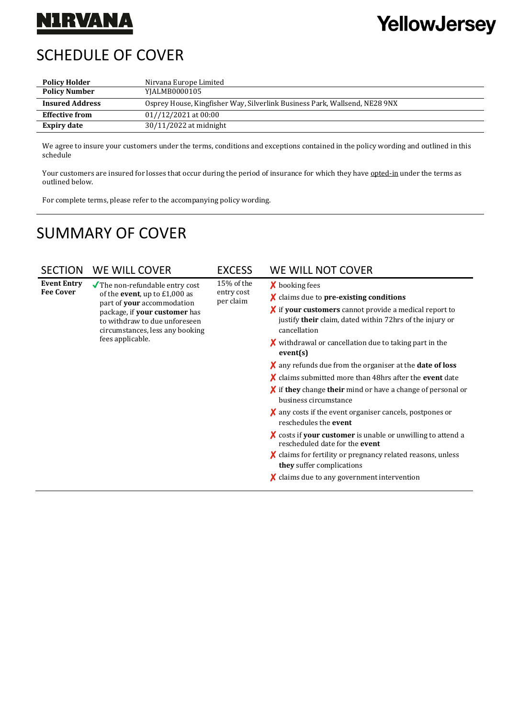## **NIRVANA**

# YellowJersey

## SCHEDULE OF COVER

| <b>Policy Holder</b>   | Nirvana Europe Limited                                                     |  |
|------------------------|----------------------------------------------------------------------------|--|
| <b>Policy Number</b>   | YJALMB0000105                                                              |  |
| <b>Insured Address</b> | Osprey House, Kingfisher Way, Silverlink Business Park, Wallsend, NE28 9NX |  |
| <b>Effective from</b>  | $01//12/2021$ at $00:00$                                                   |  |
| <b>Expiry date</b>     | $30/11/2022$ at midnight                                                   |  |

We agree to insure your customers under the terms, conditions and exceptions contained in the policy wording and outlined in this schedule

Your customers are insured for losses that occur during the period of insurance for which they have opted-in under the terms as outlined below.

For complete terms, please refer to the accompanying policy wording.

### SUMMARY OF COVER

| <b>SECTION</b>                         | WE WILL COVER                                                                                                                                                                                                                               | <b>EXCESS</b>                         | WE WILL NOT COVER                                                                                                                                                                                                                                                                                                                                                                                                                                                                                                                                                                                                                                                                                                                                                                                                                                                                                                                                             |
|----------------------------------------|---------------------------------------------------------------------------------------------------------------------------------------------------------------------------------------------------------------------------------------------|---------------------------------------|---------------------------------------------------------------------------------------------------------------------------------------------------------------------------------------------------------------------------------------------------------------------------------------------------------------------------------------------------------------------------------------------------------------------------------------------------------------------------------------------------------------------------------------------------------------------------------------------------------------------------------------------------------------------------------------------------------------------------------------------------------------------------------------------------------------------------------------------------------------------------------------------------------------------------------------------------------------|
| <b>Event Entry</b><br><b>Fee Cover</b> | $\sqrt{\ }$ The non-refundable entry cost<br>of the <b>event</b> , up to $£1,000$ as<br>part of your accommodation<br>package, if your customer has<br>to withdraw to due unforeseen<br>circumstances, less any booking<br>fees applicable. | 15% of the<br>entry cost<br>per claim | <b>X</b> booking fees<br>$\boldsymbol{\chi}$ claims due to pre-existing conditions<br>$\chi$ if your customers cannot provide a medical report to<br>justify their claim, dated within 72hrs of the injury or<br>cancellation<br>$\boldsymbol{\chi}$ withdrawal or cancellation due to taking part in the<br>event(s)<br>$\boldsymbol{\chi}$ any refunds due from the organiser at the <b>date of loss</b><br>$\chi$ claims submitted more than 48hrs after the event date<br>$\chi$ if they change their mind or have a change of personal or<br>business circumstance<br>$\boldsymbol{\chi}$ any costs if the event organiser cancels, postpones or<br>reschedules the event<br>$\chi$ costs if your customer is unable or unwilling to attend a<br>rescheduled date for the <b>event</b><br>$\chi$ claims for fertility or pregnancy related reasons, unless<br>they suffer complications<br>$\boldsymbol{\chi}$ claims due to any government intervention |
|                                        |                                                                                                                                                                                                                                             |                                       |                                                                                                                                                                                                                                                                                                                                                                                                                                                                                                                                                                                                                                                                                                                                                                                                                                                                                                                                                               |